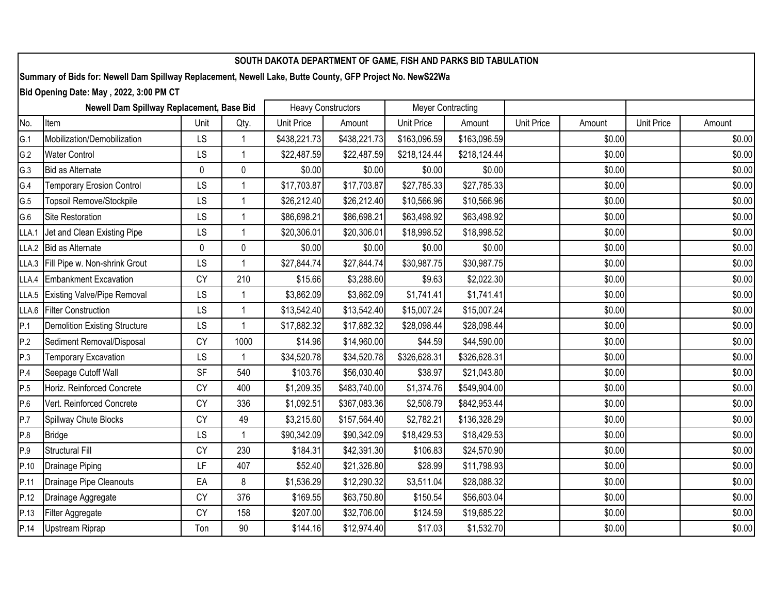| SOUTH DAKOTA DEPARTMENT OF GAME, FISH AND PARKS BID TABULATION                                            |                                      |           |              |                           |              |                          |              |                   |        |            |        |
|-----------------------------------------------------------------------------------------------------------|--------------------------------------|-----------|--------------|---------------------------|--------------|--------------------------|--------------|-------------------|--------|------------|--------|
| Summary of Bids for: Newell Dam Spillway Replacement, Newell Lake, Butte County, GFP Project No. NewS22Wa |                                      |           |              |                           |              |                          |              |                   |        |            |        |
| Bid Opening Date: May, 2022, 3:00 PM CT                                                                   |                                      |           |              |                           |              |                          |              |                   |        |            |        |
| Newell Dam Spillway Replacement, Base Bid                                                                 |                                      |           |              | <b>Heavy Constructors</b> |              | <b>Meyer Contracting</b> |              |                   |        |            |        |
| No.                                                                                                       | Item                                 | Unit      | Qty.         | Unit Price                | Amount       | Unit Price               | Amount       | <b>Unit Price</b> | Amount | Unit Price | Amount |
| G.1                                                                                                       | Mobilization/Demobilization          | LS        |              | \$438,221.73              | \$438,221.73 | \$163,096.59             | \$163,096.59 |                   | \$0.00 |            | \$0.00 |
| G.2                                                                                                       | <b>Water Control</b>                 | LS        |              | \$22,487.59               | \$22,487.59  | \$218,124.44             | \$218,124.44 |                   | \$0.00 |            | \$0.00 |
| G.3                                                                                                       | Bid as Alternate                     | $\pmb{0}$ | 0            | \$0.00                    | \$0.00       | \$0.00                   | \$0.00       |                   | \$0.00 |            | \$0.00 |
| G.4                                                                                                       | <b>Temporary Erosion Control</b>     | LS        | 1            | \$17,703.87               | \$17,703.87  | \$27,785.33              | \$27,785.33  |                   | \$0.00 |            | \$0.00 |
| G.5                                                                                                       | Topsoil Remove/Stockpile             | LS        | $\mathbf{1}$ | \$26,212.40               | \$26,212.40  | \$10,566.96              | \$10,566.96  |                   | \$0.00 |            | \$0.00 |
| G.6                                                                                                       | <b>Site Restoration</b>              | LS        |              | \$86,698.21               | \$86,698.21  | \$63,498.92              | \$63,498.92  |                   | \$0.00 |            | \$0.00 |
| LLA.1                                                                                                     | Jet and Clean Existing Pipe          | LS        |              | \$20,306.01               | \$20,306.01  | \$18,998.52              | \$18,998.52  |                   | \$0.00 |            | \$0.00 |
| LLA.2                                                                                                     | Bid as Alternate                     | $\pmb{0}$ | 0            | \$0.00                    | \$0.00       | \$0.00                   | \$0.00       |                   | \$0.00 |            | \$0.00 |
| LLA.3                                                                                                     | Fill Pipe w. Non-shrink Grout        | LS        |              | \$27,844.74               | \$27,844.74  | \$30,987.75              | \$30,987.75  |                   | \$0.00 |            | \$0.00 |
| LLA.4                                                                                                     | Embankment Excavation                | <b>CY</b> | 210          | \$15.66                   | \$3,288.60   | \$9.63                   | \$2,022.30   |                   | \$0.00 |            | \$0.00 |
| LLA.5                                                                                                     | <b>Existing Valve/Pipe Removal</b>   | LS        |              | \$3,862.09                | \$3,862.09   | \$1,741.41               | \$1,741.41   |                   | \$0.00 |            | \$0.00 |
| LLA.6                                                                                                     | <b>Filter Construction</b>           | LS        |              | \$13,542.40               | \$13,542.40  | \$15,007.24              | \$15,007.24  |                   | \$0.00 |            | \$0.00 |
| P.1                                                                                                       | <b>Demolition Existing Structure</b> | LS        |              | \$17,882.32               | \$17,882.32  | \$28,098.44              | \$28,098.44  |                   | \$0.00 |            | \$0.00 |
| P.2                                                                                                       | Sediment Removal/Disposal            | CY        | 1000         | \$14.96                   | \$14,960.00  | \$44.59                  | \$44,590.00  |                   | \$0.00 |            | \$0.00 |
| P.3                                                                                                       | <b>Temporary Excavation</b>          | LS        |              | \$34,520.78               | \$34,520.78  | \$326,628.31             | \$326,628.31 |                   | \$0.00 |            | \$0.00 |
| P.4                                                                                                       | Seepage Cutoff Wall                  | SF        | 540          | \$103.76                  | \$56,030.40  | \$38.97                  | \$21,043.80  |                   | \$0.00 |            | \$0.00 |
| P.5                                                                                                       | Horiz. Reinforced Concrete           | <b>CY</b> | 400          | \$1,209.35                | \$483,740.00 | \$1,374.76               | \$549,904.00 |                   | \$0.00 |            | \$0.00 |
| P.6                                                                                                       | Vert. Reinforced Concrete            | <b>CY</b> | 336          | \$1,092.51                | \$367,083.36 | \$2,508.79               | \$842,953.44 |                   | \$0.00 |            | \$0.00 |
| P.7                                                                                                       | Spillway Chute Blocks                | CY        | 49           | \$3,215.60                | \$157,564.40 | \$2,782.21               | \$136,328.29 |                   | \$0.00 |            | \$0.00 |
| P.8                                                                                                       | <b>Bridge</b>                        | LS        |              | \$90,342.09               | \$90,342.09  | \$18,429.53              | \$18,429.53  |                   | \$0.00 |            | \$0.00 |
| P.9                                                                                                       | <b>Structural Fill</b>               | CY        | 230          | \$184.31                  | \$42,391.30  | \$106.83                 | \$24,570.90  |                   | \$0.00 |            | \$0.00 |
| P.10                                                                                                      | Drainage Piping                      | LF        | 407          | \$52.40                   | \$21,326.80  | \$28.99                  | \$11,798.93  |                   | \$0.00 |            | \$0.00 |
| P.11                                                                                                      | Drainage Pipe Cleanouts              | EA        | 8            | \$1,536.29                | \$12,290.32  | \$3,511.04               | \$28,088.32  |                   | \$0.00 |            | \$0.00 |
| P.12                                                                                                      | Drainage Aggregate                   | CY        | 376          | \$169.55                  | \$63,750.80  | \$150.54                 | \$56,603.04  |                   | \$0.00 |            | \$0.00 |
| P.13                                                                                                      | Filter Aggregate                     | <b>CY</b> | 158          | \$207.00                  | \$32,706.00  | \$124.59                 | \$19,685.22  |                   | \$0.00 |            | \$0.00 |
| P.14                                                                                                      | <b>Upstream Riprap</b>               | Ton       | 90           | \$144.16                  | \$12,974.40  | \$17.03                  | \$1,532.70   |                   | \$0.00 |            | \$0.00 |